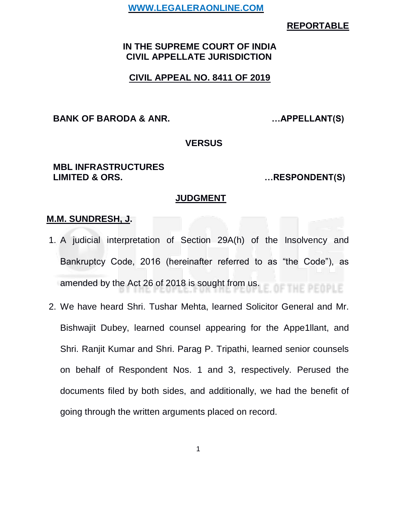### **REPORTABLE**

## **IN THE SUPREME COURT OF INDIA CIVIL APPELLATE JURISDICTION**

## **CIVIL APPEAL NO. 8411 OF 2019**

**BANK OF BARODA & ANR. …APPELLANT(S)**

#### **VERSUS**

#### **MBL INFRASTRUCTURES LIMITED & ORS. …RESPONDENT(S)**

#### **JUDGMENT**

#### **M.M. SUNDRESH, J.**

- 1. A judicial interpretation of Section 29A(h) of the Insolvency and Bankruptcy Code, 2016 (hereinafter referred to as "the Code"), as amended by the Act 26 of 2018 is sought from us. THE PEOPLE
- 2. We have heard Shri. Tushar Mehta, learned Solicitor General and Mr. Bishwajit Dubey, learned counsel appearing for the Appe1llant, and Shri. Ranjit Kumar and Shri. Parag P. Tripathi, learned senior counsels on behalf of Respondent Nos. 1 and 3, respectively. Perused the documents filed by both sides, and additionally, we had the benefit of going through the written arguments placed on record.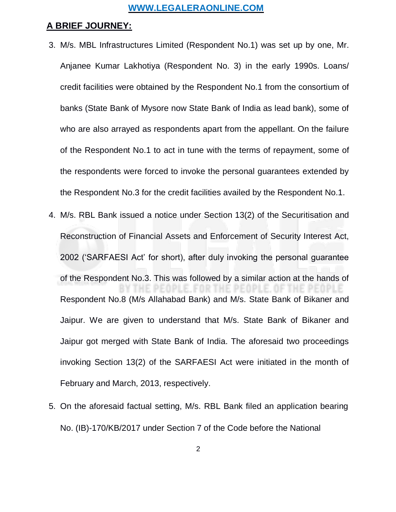### **A BRIEF JOURNEY:**

- 3. M/s. MBL Infrastructures Limited (Respondent No.1) was set up by one, Mr. Anjanee Kumar Lakhotiya (Respondent No. 3) in the early 1990s. Loans/ credit facilities were obtained by the Respondent No.1 from the consortium of banks (State Bank of Mysore now State Bank of India as lead bank), some of who are also arrayed as respondents apart from the appellant. On the failure of the Respondent No.1 to act in tune with the terms of repayment, some of the respondents were forced to invoke the personal guarantees extended by the Respondent No.3 for the credit facilities availed by the Respondent No.1.
- 4. M/s. RBL Bank issued a notice under Section 13(2) of the Securitisation and Reconstruction of Financial Assets and Enforcement of Security Interest Act, 2002 ('SARFAESI Act' for short), after duly invoking the personal guarantee of the Respondent No.3. This was followed by a similar action at the hands of Respondent No.8 (M/s Allahabad Bank) and M/s. State Bank of Bikaner and Jaipur. We are given to understand that M/s. State Bank of Bikaner and Jaipur got merged with State Bank of India. The aforesaid two proceedings invoking Section 13(2) of the SARFAESI Act were initiated in the month of February and March, 2013, respectively.
- 5. On the aforesaid factual setting, M/s. RBL Bank filed an application bearing No. (IB)-170/KB/2017 under Section 7 of the Code before the National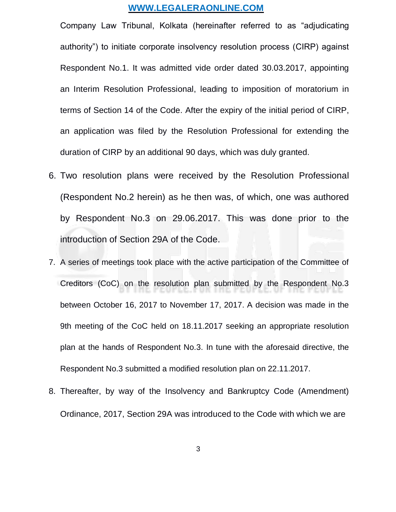Company Law Tribunal, Kolkata (hereinafter referred to as "adjudicating authority") to initiate corporate insolvency resolution process (CIRP) against Respondent No.1. It was admitted vide order dated 30.03.2017, appointing an Interim Resolution Professional, leading to imposition of moratorium in terms of Section 14 of the Code. After the expiry of the initial period of CIRP, an application was filed by the Resolution Professional for extending the duration of CIRP by an additional 90 days, which was duly granted.

- 6. Two resolution plans were received by the Resolution Professional (Respondent No.2 herein) as he then was, of which, one was authored by Respondent No.3 on 29.06.2017. This was done prior to the introduction of Section 29A of the Code.
- 7. A series of meetings took place with the active participation of the Committee of Creditors (CoC) on the resolution plan submitted by the Respondent No.3 between October 16, 2017 to November 17, 2017. A decision was made in the 9th meeting of the CoC held on 18.11.2017 seeking an appropriate resolution plan at the hands of Respondent No.3. In tune with the aforesaid directive, the Respondent No.3 submitted a modified resolution plan on 22.11.2017.
- 8. Thereafter, by way of the Insolvency and Bankruptcy Code (Amendment) Ordinance, 2017, Section 29A was introduced to the Code with which we are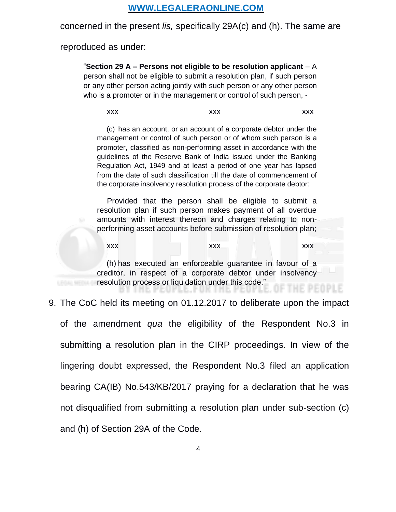concerned in the present *lis,* specifically 29A(c) and (h). The same are

reproduced as under:

"**Section 29 A – Persons not eligible to be resolution applicant** – A person shall not be eligible to submit a resolution plan, if such person or any other person acting jointly with such person or any other person who is a promoter or in the management or control of such person, -

xxx xxx xxx xxx xxx

(c) has an account, or an account of a corporate debtor under the management or control of such person or of whom such person is a promoter, classified as non-performing asset in accordance with the guidelines of the Reserve Bank of India issued under the Banking Regulation Act, 1949 and at least a period of one year has lapsed from the date of such classification till the date of commencement of the corporate insolvency resolution process of the corporate debtor:

Provided that the person shall be eligible to submit a resolution plan if such person makes payment of all overdue amounts with interest thereon and charges relating to nonperforming asset accounts before submission of resolution plan;

xxx xxx xxx xxx xxx xxx

(h) has executed an enforceable guarantee in favour of a creditor, in respect of a corporate debtor under insolvency resolution process or liquidation under this code."

9. The CoC held its meeting on 01.12.2017 to deliberate upon the impact

of the amendment *qua* the eligibility of the Respondent No.3 in submitting a resolution plan in the CIRP proceedings. In view of the lingering doubt expressed, the Respondent No.3 filed an application bearing CA(IB) No.543/KB/2017 praying for a declaration that he was not disqualified from submitting a resolution plan under sub-section (c) and (h) of Section 29A of the Code.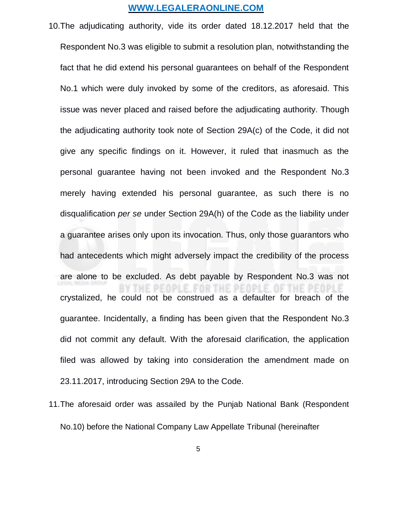- 10.The adjudicating authority, vide its order dated 18.12.2017 held that the Respondent No.3 was eligible to submit a resolution plan, notwithstanding the fact that he did extend his personal guarantees on behalf of the Respondent No.1 which were duly invoked by some of the creditors, as aforesaid. This issue was never placed and raised before the adjudicating authority. Though the adjudicating authority took note of Section 29A(c) of the Code, it did not give any specific findings on it. However, it ruled that inasmuch as the personal guarantee having not been invoked and the Respondent No.3 merely having extended his personal guarantee, as such there is no disqualification *per se* under Section 29A(h) of the Code as the liability under a guarantee arises only upon its invocation. Thus, only those guarantors who had antecedents which might adversely impact the credibility of the process are alone to be excluded. As debt payable by Respondent No.3 was not crystalized, he could not be construed as a defaulter for breach of the guarantee. Incidentally, a finding has been given that the Respondent No.3 did not commit any default. With the aforesaid clarification, the application filed was allowed by taking into consideration the amendment made on 23.11.2017, introducing Section 29A to the Code.
- 11.The aforesaid order was assailed by the Punjab National Bank (Respondent No.10) before the National Company Law Appellate Tribunal (hereinafter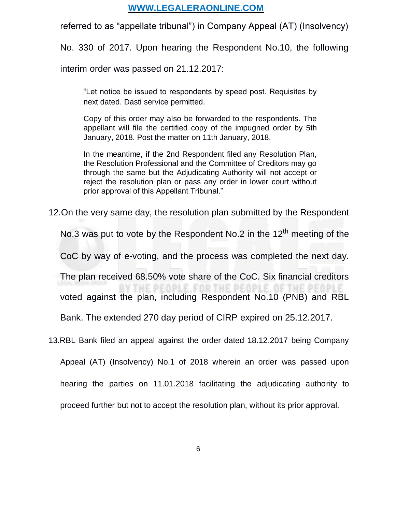referred to as "appellate tribunal") in Company Appeal (AT) (Insolvency)

No. 330 of 2017. Upon hearing the Respondent No.10, the following

interim order was passed on 21.12.2017:

"Let notice be issued to respondents by speed post. Requisites by next dated. Dasti service permitted.

Copy of this order may also be forwarded to the respondents. The appellant will file the certified copy of the impugned order by 5th January, 2018. Post the matter on 11th January, 2018.

In the meantime, if the 2nd Respondent filed any Resolution Plan, the Resolution Professional and the Committee of Creditors may go through the same but the Adjudicating Authority will not accept or reject the resolution plan or pass any order in lower court without prior approval of this Appellant Tribunal."

12.On the very same day, the resolution plan submitted by the Respondent

No.3 was put to vote by the Respondent No.2 in the 12<sup>th</sup> meeting of the

CoC by way of e-voting, and the process was completed the next day.

The plan received 68.50% vote share of the CoC. Six financial creditors

E PEOPLE, FOR THE PEOPLE. voted against the plan, including Respondent No.10 (PNB) and RBL

**OF THE PEOPLI** 

Bank. The extended 270 day period of CIRP expired on 25.12.2017.

13.RBL Bank filed an appeal against the order dated 18.12.2017 being Company

Appeal (AT) (Insolvency) No.1 of 2018 wherein an order was passed upon hearing the parties on 11.01.2018 facilitating the adjudicating authority to proceed further but not to accept the resolution plan, without its prior approval.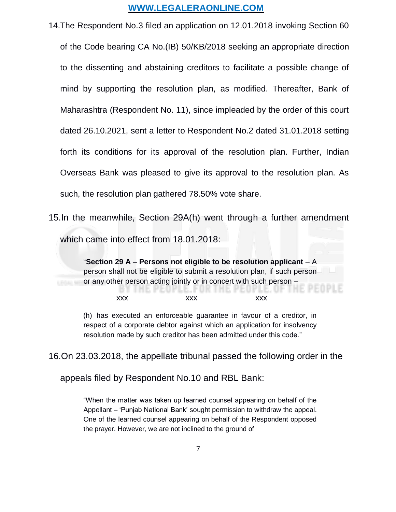14.The Respondent No.3 filed an application on 12.01.2018 invoking Section 60 of the Code bearing CA No.(IB) 50/KB/2018 seeking an appropriate direction to the dissenting and abstaining creditors to facilitate a possible change of mind by supporting the resolution plan, as modified. Thereafter, Bank of Maharashtra (Respondent No. 11), since impleaded by the order of this court dated 26.10.2021, sent a letter to Respondent No.2 dated 31.01.2018 setting forth its conditions for its approval of the resolution plan. Further, Indian Overseas Bank was pleased to give its approval to the resolution plan. As such, the resolution plan gathered 78.50% vote share.

15.In the meanwhile, Section 29A(h) went through a further amendment

which came into effect from 18.01.2018:

"**Section 29 A – Persons not eligible to be resolution applicant** – A person shall not be eligible to submit a resolution plan, if such person or any other person acting jointly or in concert with such person –

xxx xxx xxx xxx

一戸 日 尾目

(h) has executed an enforceable guarantee in favour of a creditor, in respect of a corporate debtor against which an application for insolvency resolution made by such creditor has been admitted under this code."

16.On 23.03.2018, the appellate tribunal passed the following order in the

appeals filed by Respondent No.10 and RBL Bank:

"When the matter was taken up learned counsel appearing on behalf of the Appellant – 'Punjab National Bank' sought permission to withdraw the appeal. One of the learned counsel appearing on behalf of the Respondent opposed the prayer. However, we are not inclined to the ground of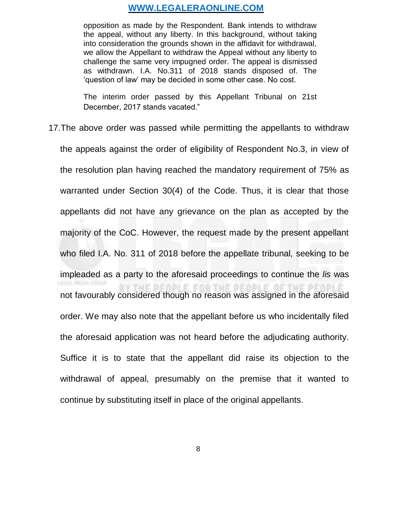opposition as made by the Respondent. Bank intends to withdraw the appeal, without any liberty. In this background, without taking into consideration the grounds shown in the affidavit for withdrawal, we allow the Appellant to withdraw the Appeal without any liberty to challenge the same very impugned order. The appeal is dismissed as withdrawn. I.A. No.311 of 2018 stands disposed of. The 'question of law' may be decided in some other case. No cost.

The interim order passed by this Appellant Tribunal on 21st December, 2017 stands vacated."

17.The above order was passed while permitting the appellants to withdraw the appeals against the order of eligibility of Respondent No.3, in view of the resolution plan having reached the mandatory requirement of 75% as warranted under Section 30(4) of the Code. Thus, it is clear that those appellants did not have any grievance on the plan as accepted by the majority of the CoC. However, the request made by the present appellant who filed I.A. No. 311 of 2018 before the appellate tribunal, seeking to be impleaded as a party to the aforesaid proceedings to continue the *lis* was HE PEOPLE FOR THE PEOPLE OF THE PEOPLE not favourably considered though no reason was assigned in the aforesaid order. We may also note that the appellant before us who incidentally filed the aforesaid application was not heard before the adjudicating authority. Suffice it is to state that the appellant did raise its objection to the withdrawal of appeal, presumably on the premise that it wanted to continue by substituting itself in place of the original appellants.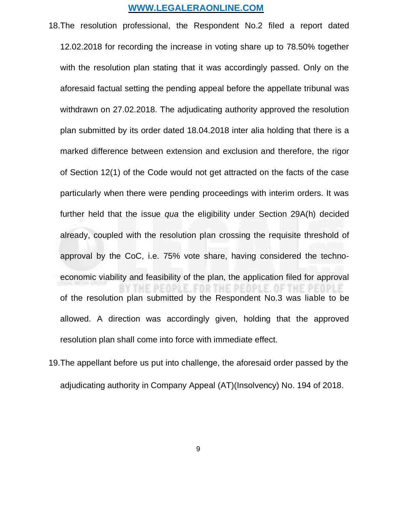- 18.The resolution professional, the Respondent No.2 filed a report dated 12.02.2018 for recording the increase in voting share up to 78.50% together with the resolution plan stating that it was accordingly passed. Only on the aforesaid factual setting the pending appeal before the appellate tribunal was withdrawn on 27.02.2018. The adjudicating authority approved the resolution plan submitted by its order dated 18.04.2018 inter alia holding that there is a marked difference between extension and exclusion and therefore, the rigor of Section 12(1) of the Code would not get attracted on the facts of the case particularly when there were pending proceedings with interim orders. It was further held that the issue *qua* the eligibility under Section 29A(h) decided already, coupled with the resolution plan crossing the requisite threshold of approval by the CoC, i.e. 75% vote share, having considered the technoeconomic viability and feasibility of the plan, the application filed for approval of the resolution plan submitted by the Respondent No.3 was liable to be allowed. A direction was accordingly given, holding that the approved resolution plan shall come into force with immediate effect.
- 19.The appellant before us put into challenge, the aforesaid order passed by the adjudicating authority in Company Appeal (AT)(Insolvency) No. 194 of 2018.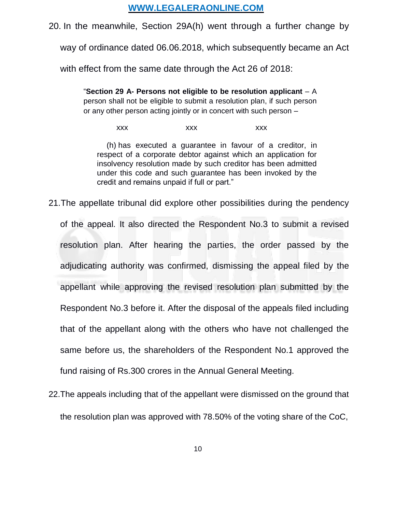20. In the meanwhile, Section 29A(h) went through a further change by

way of ordinance dated 06.06.2018, which subsequently became an Act

with effect from the same date through the Act 26 of 2018:

"**Section 29 A- Persons not eligible to be resolution applicant** – A person shall not be eligible to submit a resolution plan, if such person or any other person acting jointly or in concert with such person –

xxx xxx xxx xxx

(h) has executed a guarantee in favour of a creditor, in respect of a corporate debtor against which an application for insolvency resolution made by such creditor has been admitted under this code and such guarantee has been invoked by the credit and remains unpaid if full or part."

- 21.The appellate tribunal did explore other possibilities during the pendency of the appeal. It also directed the Respondent No.3 to submit a revised resolution plan. After hearing the parties, the order passed by the adjudicating authority was confirmed, dismissing the appeal filed by the appellant while approving the revised resolution plan submitted by the Respondent No.3 before it. After the disposal of the appeals filed including that of the appellant along with the others who have not challenged the same before us, the shareholders of the Respondent No.1 approved the fund raising of Rs.300 crores in the Annual General Meeting.
- 22.The appeals including that of the appellant were dismissed on the ground that the resolution plan was approved with 78.50% of the voting share of the CoC,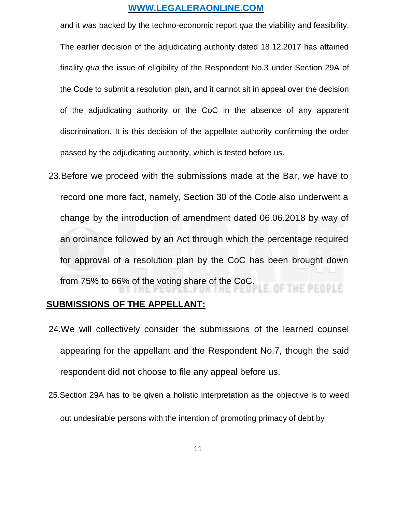and it was backed by the techno-economic report *qua* the viability and feasibility. The earlier decision of the adjudicating authority dated 18.12.2017 has attained finality *qua* the issue of eligibility of the Respondent No.3 under Section 29A of the Code to submit a resolution plan, and it cannot sit in appeal over the decision of the adjudicating authority or the CoC in the absence of any apparent discrimination. It is this decision of the appellate authority confirming the order passed by the adjudicating authority, which is tested before us.

23.Before we proceed with the submissions made at the Bar, we have to record one more fact, namely, Section 30 of the Code also underwent a change by the introduction of amendment dated 06.06.2018 by way of an ordinance followed by an Act through which the percentage required for approval of a resolution plan by the CoC has been brought down from 75% to 66% of the voting share of the CoC. E. OF THE PEOPLE

## **SUBMISSIONS OF THE APPELLANT:**

- 24.We will collectively consider the submissions of the learned counsel appearing for the appellant and the Respondent No.7, though the said respondent did not choose to file any appeal before us.
- 25.Section 29A has to be given a holistic interpretation as the objective is to weed out undesirable persons with the intention of promoting primacy of debt by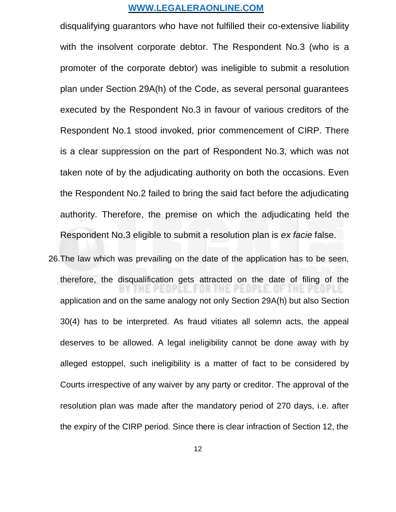disqualifying guarantors who have not fulfilled their co-extensive liability with the insolvent corporate debtor. The Respondent No.3 (who is a promoter of the corporate debtor) was ineligible to submit a resolution plan under Section 29A(h) of the Code, as several personal guarantees executed by the Respondent No.3 in favour of various creditors of the Respondent No.1 stood invoked, prior commencement of CIRP. There is a clear suppression on the part of Respondent No.3, which was not taken note of by the adjudicating authority on both the occasions. Even the Respondent No.2 failed to bring the said fact before the adjudicating authority. Therefore, the premise on which the adjudicating held the Respondent No.3 eligible to submit a resolution plan is *ex facie* false.

26.The law which was prevailing on the date of the application has to be seen, therefore, the disqualification gets attracted on the date of filing of the application and on the same analogy not only Section 29A(h) but also Section 30(4) has to be interpreted. As fraud vitiates all solemn acts, the appeal deserves to be allowed. A legal ineligibility cannot be done away with by alleged estoppel, such ineligibility is a matter of fact to be considered by Courts irrespective of any waiver by any party or creditor. The approval of the resolution plan was made after the mandatory period of 270 days, i.e. after the expiry of the CIRP period. Since there is clear infraction of Section 12, the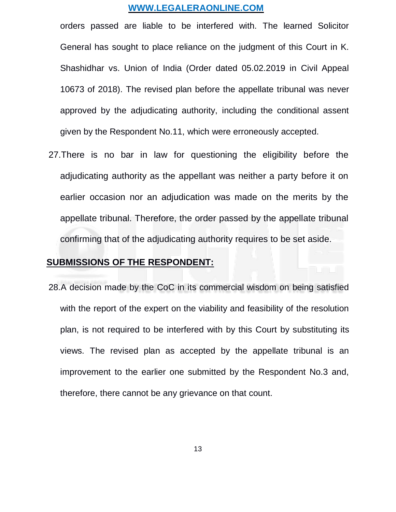orders passed are liable to be interfered with. The learned Solicitor General has sought to place reliance on the judgment of this Court in K. Shashidhar vs. Union of India (Order dated 05.02.2019 in Civil Appeal 10673 of 2018). The revised plan before the appellate tribunal was never approved by the adjudicating authority, including the conditional assent given by the Respondent No.11, which were erroneously accepted.

27.There is no bar in law for questioning the eligibility before the adjudicating authority as the appellant was neither a party before it on earlier occasion nor an adjudication was made on the merits by the appellate tribunal. Therefore, the order passed by the appellate tribunal confirming that of the adjudicating authority requires to be set aside.

## **SUBMISSIONS OF THE RESPONDENT:**

28.A decision made by the CoC in its commercial wisdom on being satisfied with the report of the expert on the viability and feasibility of the resolution plan, is not required to be interfered with by this Court by substituting its views. The revised plan as accepted by the appellate tribunal is an improvement to the earlier one submitted by the Respondent No.3 and, therefore, there cannot be any grievance on that count.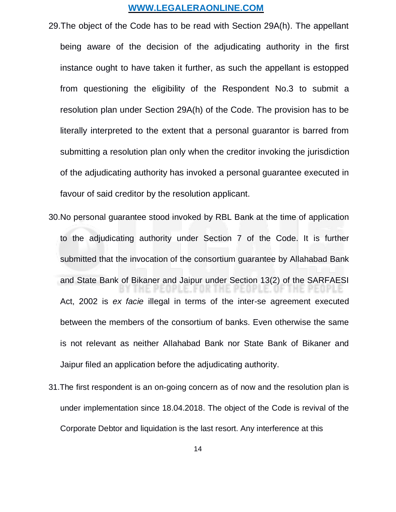- 29.The object of the Code has to be read with Section 29A(h). The appellant being aware of the decision of the adjudicating authority in the first instance ought to have taken it further, as such the appellant is estopped from questioning the eligibility of the Respondent No.3 to submit a resolution plan under Section 29A(h) of the Code. The provision has to be literally interpreted to the extent that a personal guarantor is barred from submitting a resolution plan only when the creditor invoking the jurisdiction of the adjudicating authority has invoked a personal guarantee executed in favour of said creditor by the resolution applicant.
- 30.No personal guarantee stood invoked by RBL Bank at the time of application to the adjudicating authority under Section 7 of the Code. It is further submitted that the invocation of the consortium guarantee by Allahabad Bank and State Bank of Bikaner and Jaipur under Section 13(2) of the SARFAESI Act, 2002 is *ex facie* illegal in terms of the inter-se agreement executed between the members of the consortium of banks. Even otherwise the same is not relevant as neither Allahabad Bank nor State Bank of Bikaner and Jaipur filed an application before the adjudicating authority.
- 31.The first respondent is an on-going concern as of now and the resolution plan is under implementation since 18.04.2018. The object of the Code is revival of the Corporate Debtor and liquidation is the last resort. Any interference at this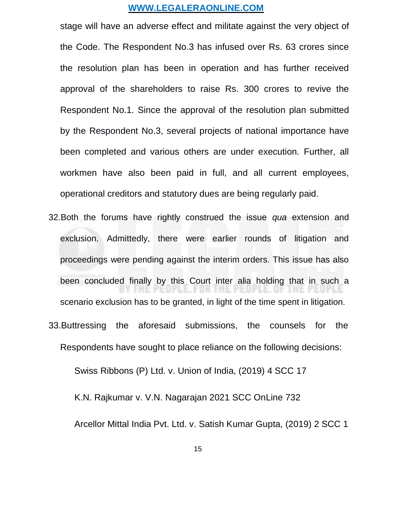stage will have an adverse effect and militate against the very object of the Code. The Respondent No.3 has infused over Rs. 63 crores since the resolution plan has been in operation and has further received approval of the shareholders to raise Rs. 300 crores to revive the Respondent No.1. Since the approval of the resolution plan submitted by the Respondent No.3, several projects of national importance have been completed and various others are under execution. Further, all workmen have also been paid in full, and all current employees, operational creditors and statutory dues are being regularly paid.

- 32.Both the forums have rightly construed the issue *qua* extension and exclusion. Admittedly, there were earlier rounds of litigation and proceedings were pending against the interim orders. This issue has also been concluded finally by this Court inter alia holding that in such a scenario exclusion has to be granted, in light of the time spent in litigation.
- 33.Buttressing the aforesaid submissions, the counsels for the Respondents have sought to place reliance on the following decisions:

Swiss Ribbons (P) Ltd. v. Union of India, (2019) 4 SCC 17

K.N. Rajkumar v. V.N. Nagarajan 2021 SCC OnLine 732

Arcellor Mittal India Pvt. Ltd. v. Satish Kumar Gupta, (2019) 2 SCC 1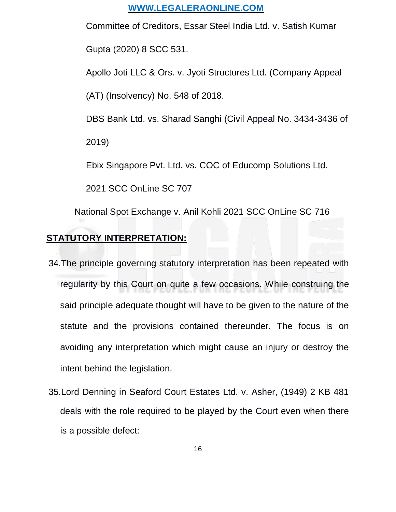Committee of Creditors, Essar Steel India Ltd. v. Satish Kumar

Gupta (2020) 8 SCC 531.

Apollo Joti LLC & Ors. v. Jyoti Structures Ltd. (Company Appeal

(AT) (Insolvency) No. 548 of 2018.

DBS Bank Ltd. vs. Sharad Sanghi (Civil Appeal No. 3434-3436 of

2019)

Ebix Singapore Pvt. Ltd. vs. COC of Educomp Solutions Ltd.

2021 SCC OnLine SC 707

National Spot Exchange v. Anil Kohli 2021 SCC OnLine SC 716

## **STATUTORY INTERPRETATION:**

- 34.The principle governing statutory interpretation has been repeated with regularity by this Court on quite a few occasions. While construing the said principle adequate thought will have to be given to the nature of the statute and the provisions contained thereunder. The focus is on avoiding any interpretation which might cause an injury or destroy the intent behind the legislation.
- 35.Lord Denning in Seaford Court Estates Ltd. v. Asher, (1949) 2 KB 481 deals with the role required to be played by the Court even when there is a possible defect: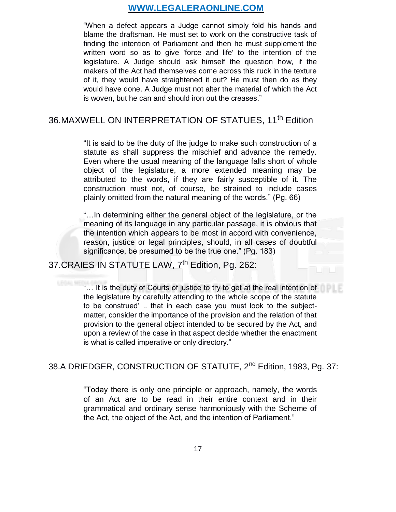"When a defect appears a Judge cannot simply fold his hands and blame the draftsman. He must set to work on the constructive task of finding the intention of Parliament and then he must supplement the written word so as to give 'force and life' to the intention of the legislature. A Judge should ask himself the question how, if the makers of the Act had themselves come across this ruck in the texture of it, they would have straightened it out? He must then do as they would have done. A Judge must not alter the material of which the Act is woven, but he can and should iron out the creases."

# 36.MAXWELL ON INTERPRETATION OF STATUES, 11<sup>th</sup> Edition

"It is said to be the duty of the judge to make such construction of a statute as shall suppress the mischief and advance the remedy. Even where the usual meaning of the language falls short of whole object of the legislature, a more extended meaning may be attributed to the words, if they are fairly susceptible of it. The construction must not, of course, be strained to include cases plainly omitted from the natural meaning of the words." (Pg. 66)

"…In determining either the general object of the legislature, or the meaning of its language in any particular passage, it is obvious that the intention which appears to be most in accord with convenience, reason, justice or legal principles, should, in all cases of doubtful significance, be presumed to be the true one." (Pg. 183)

# 37.CRAIES IN STATUTE LAW, 7<sup>th</sup> Edition, Pg. 262:

"… It is the duty of Courts of justice to try to get at the real intention of the legislature by carefully attending to the whole scope of the statute to be construed' .. that in each case you must look to the subjectmatter, consider the importance of the provision and the relation of that provision to the general object intended to be secured by the Act, and upon a review of the case in that aspect decide whether the enactment is what is called imperative or only directory."

# 38.A DRIEDGER, CONSTRUCTION OF STATUTE, 2<sup>nd</sup> Edition, 1983, Pg. 37:

"Today there is only one principle or approach, namely, the words of an Act are to be read in their entire context and in their grammatical and ordinary sense harmoniously with the Scheme of the Act, the object of the Act, and the intention of Parliament."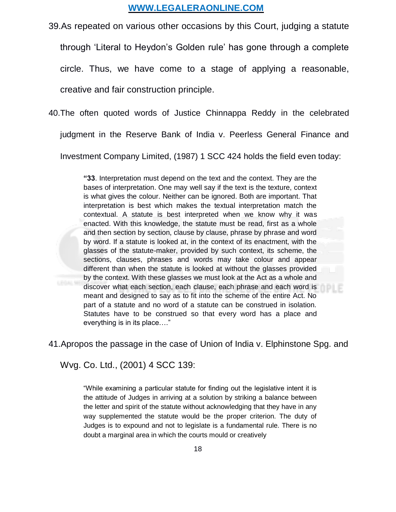39.As repeated on various other occasions by this Court, judging a statute

through 'Literal to Heydon's Golden rule' has gone through a complete

circle. Thus, we have come to a stage of applying a reasonable,

creative and fair construction principle.

40.The often quoted words of Justice Chinnappa Reddy in the celebrated

judgment in the Reserve Bank of India v. Peerless General Finance and

Investment Company Limited, (1987) 1 SCC 424 holds the field even today:

**"33**. Interpretation must depend on the text and the context. They are the bases of interpretation. One may well say if the text is the texture, context is what gives the colour. Neither can be ignored. Both are important. That interpretation is best which makes the textual interpretation match the contextual. A statute is best interpreted when we know why it was enacted. With this knowledge, the statute must be read, first as a whole and then section by section, clause by clause, phrase by phrase and word by word. If a statute is looked at, in the context of its enactment, with the glasses of the statute-maker, provided by such context, its scheme, the sections, clauses, phrases and words may take colour and appear different than when the statute is looked at without the glasses provided by the context. With these glasses we must look at the Act as a whole and discover what each section, each clause, each phrase and each word is meant and designed to say as to fit into the scheme of the entire Act. No part of a statute and no word of a statute can be construed in isolation. Statutes have to be construed so that every word has a place and everything is in its place…."

41.Apropos the passage in the case of Union of India v. Elphinstone Spg. and

Wvg. Co. Ltd., (2001) 4 SCC 139:

"While examining a particular statute for finding out the legislative intent it is the attitude of Judges in arriving at a solution by striking a balance between the letter and spirit of the statute without acknowledging that they have in any way supplemented the statute would be the proper criterion. The duty of Judges is to expound and not to legislate is a fundamental rule. There is no doubt a marginal area in which the courts mould or creatively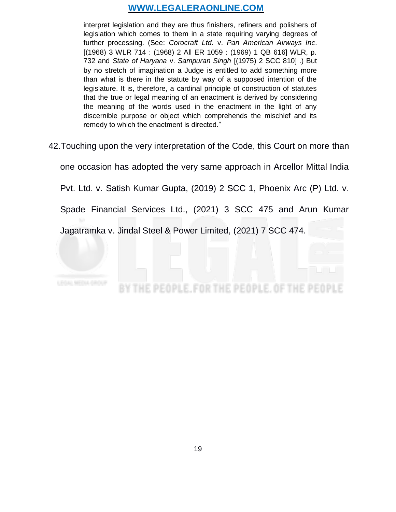interpret legislation and they are thus finishers, refiners and polishers of legislation which comes to them in a state requiring varying degrees of further processing. (See: *Corocraft Ltd.* v. *Pan American Airways Inc*. [(1968) 3 WLR 714 : (1968) 2 All ER 1059 : (1969) 1 QB 616] WLR, p. 732 and *State of Haryana* v. *Sampuran Singh* [(1975) 2 SCC 810] .) But by no stretch of imagination a Judge is entitled to add something more than what is there in the statute by way of a supposed intention of the legislature. It is, therefore, a cardinal principle of construction of statutes that the true or legal meaning of an enactment is derived by considering the meaning of the words used in the enactment in the light of any discernible purpose or object which comprehends the mischief and its remedy to which the enactment is directed."

42.Touching upon the very interpretation of the Code, this Court on more than

one occasion has adopted the very same approach in Arcellor Mittal India

Pvt. Ltd. v. Satish Kumar Gupta, (2019) 2 SCC 1, Phoenix Arc (P) Ltd. v.

Spade Financial Services Ltd., (2021) 3 SCC 475 and Arun Kumar

Jagatramka v. Jindal Steel & Power Limited, (2021) 7 SCC 474.



HE PEOPLE. FOR THE PEOPLE. OF THE PEOPLE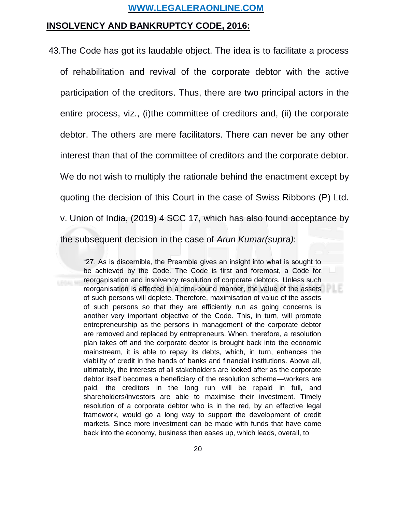## **INSOLVENCY AND BANKRUPTCY CODE, 2016:**

43.The Code has got its laudable object. The idea is to facilitate a process of rehabilitation and revival of the corporate debtor with the active participation of the creditors. Thus, there are two principal actors in the entire process, viz., (i)the committee of creditors and, (ii) the corporate debtor. The others are mere facilitators. There can never be any other interest than that of the committee of creditors and the corporate debtor. We do not wish to multiply the rationale behind the enactment except by quoting the decision of this Court in the case of Swiss Ribbons (P) Ltd. v. Union of India, (2019) 4 SCC 17, which has also found acceptance by the subsequent decision in the case of *Arun Kumar(supra)*:

> "27. As is discernible, the Preamble gives an insight into what is sought to be achieved by the Code. The Code is first and foremost, a Code for reorganisation and insolvency resolution of corporate debtors. Unless such reorganisation is effected in a time-bound manner, the value of the assets of such persons will deplete. Therefore, maximisation of value of the assets of such persons so that they are efficiently run as going concerns is another very important objective of the Code. This, in turn, will promote entrepreneurship as the persons in management of the corporate debtor are removed and replaced by entrepreneurs. When, therefore, a resolution plan takes off and the corporate debtor is brought back into the economic mainstream, it is able to repay its debts, which, in turn, enhances the viability of credit in the hands of banks and financial institutions. Above all, ultimately, the interests of all stakeholders are looked after as the corporate debtor itself becomes a beneficiary of the resolution scheme—workers are paid, the creditors in the long run will be repaid in full, and shareholders/investors are able to maximise their investment. Timely resolution of a corporate debtor who is in the red, by an effective legal framework, would go a long way to support the development of credit markets. Since more investment can be made with funds that have come back into the economy, business then eases up, which leads, overall, to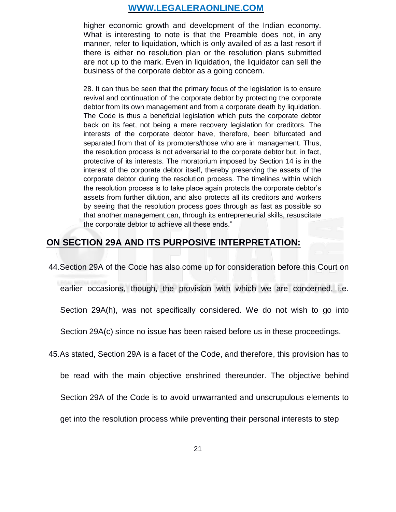higher economic growth and development of the Indian economy. What is interesting to note is that the Preamble does not, in any manner, refer to liquidation, which is only availed of as a last resort if there is either no resolution plan or the resolution plans submitted are not up to the mark. Even in liquidation, the liquidator can sell the business of the corporate debtor as a going concern.

28. It can thus be seen that the primary focus of the legislation is to ensure revival and continuation of the corporate debtor by protecting the corporate debtor from its own management and from a corporate death by liquidation. The Code is thus a beneficial legislation which puts the corporate debtor back on its feet, not being a mere recovery legislation for creditors. The interests of the corporate debtor have, therefore, been bifurcated and separated from that of its promoters/those who are in management. Thus, the resolution process is not adversarial to the corporate debtor but, in fact, protective of its interests. The moratorium imposed by Section 14 is in the interest of the corporate debtor itself, thereby preserving the assets of the corporate debtor during the resolution process. The timelines within which the resolution process is to take place again protects the corporate debtor's assets from further dilution, and also protects all its creditors and workers by seeing that the resolution process goes through as fast as possible so that another management can, through its entrepreneurial skills, resuscitate the corporate debtor to achieve all these ends."

# **ON SECTION 29A AND ITS PURPOSIVE INTERPRETATION:**

44.Section 29A of the Code has also come up for consideration before this Court on

earlier occasions, though, the provision with which we are concerned, i.e.

Section 29A(h), was not specifically considered. We do not wish to go into

Section 29A(c) since no issue has been raised before us in these proceedings.

45.As stated, Section 29A is a facet of the Code, and therefore, this provision has to

be read with the main objective enshrined thereunder. The objective behind

Section 29A of the Code is to avoid unwarranted and unscrupulous elements to

get into the resolution process while preventing their personal interests to step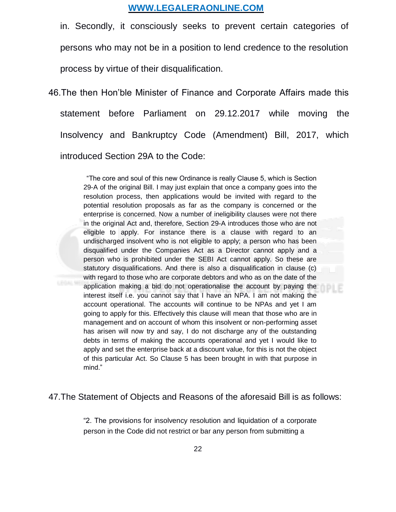in. Secondly, it consciously seeks to prevent certain categories of persons who may not be in a position to lend credence to the resolution process by virtue of their disqualification.

46.The then Hon'ble Minister of Finance and Corporate Affairs made this statement before Parliament on 29.12.2017 while moving the Insolvency and Bankruptcy Code (Amendment) Bill, 2017, which introduced Section 29A to the Code:

> "The core and soul of this new Ordinance is really Clause 5, which is Section 29-A of the original Bill. I may just explain that once a company goes into the resolution process, then applications would be invited with regard to the potential resolution proposals as far as the company is concerned or the enterprise is concerned. Now a number of ineligibility clauses were not there in the original Act and, therefore, Section 29-A introduces those who are not eligible to apply. For instance there is a clause with regard to an undischarged insolvent who is not eligible to apply; a person who has been disqualified under the Companies Act as a Director cannot apply and a person who is prohibited under the SEBI Act cannot apply. So these are statutory disqualifications. And there is also a disqualification in clause (c) with regard to those who are corporate debtors and who as on the date of the application making a bid do not operationalise the account by paying the interest itself i.e. you cannot say that I have an NPA. I am not making the account operational. The accounts will continue to be NPAs and yet I am going to apply for this. Effectively this clause will mean that those who are in management and on account of whom this insolvent or non-performing asset has arisen will now try and say, I do not discharge any of the outstanding debts in terms of making the accounts operational and yet I would like to apply and set the enterprise back at a discount value, for this is not the object of this particular Act. So Clause 5 has been brought in with that purpose in mind."

#### 47.The Statement of Objects and Reasons of the aforesaid Bill is as follows:

"2. The provisions for insolvency resolution and liquidation of a corporate person in the Code did not restrict or bar any person from submitting a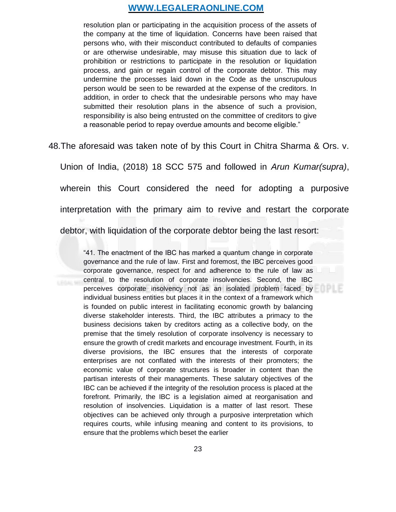resolution plan or participating in the acquisition process of the assets of the company at the time of liquidation. Concerns have been raised that persons who, with their misconduct contributed to defaults of companies or are otherwise undesirable, may misuse this situation due to lack of prohibition or restrictions to participate in the resolution or liquidation process, and gain or regain control of the corporate debtor. This may undermine the processes laid down in the Code as the unscrupulous person would be seen to be rewarded at the expense of the creditors. In addition, in order to check that the undesirable persons who may have submitted their resolution plans in the absence of such a provision, responsibility is also being entrusted on the committee of creditors to give a reasonable period to repay overdue amounts and become eligible."

48.The aforesaid was taken note of by this Court in Chitra Sharma & Ors. v.

Union of India, (2018) 18 SCC 575 and followed in *Arun Kumar(supra)*, wherein this Court considered the need for adopting a purposive interpretation with the primary aim to revive and restart the corporate debtor, with liquidation of the corporate debtor being the last resort:

"41. The enactment of the IBC has marked a quantum change in corporate governance and the rule of law. First and foremost, the IBC perceives good corporate governance, respect for and adherence to the rule of law as central to the resolution of corporate insolvencies. Second, the IBC perceives corporate insolvency not as an isolated problem faced by individual business entities but places it in the context of a framework which is founded on public interest in facilitating economic growth by balancing diverse stakeholder interests. Third, the IBC attributes a primacy to the business decisions taken by creditors acting as a collective body, on the premise that the timely resolution of corporate insolvency is necessary to ensure the growth of credit markets and encourage investment. Fourth, in its diverse provisions, the IBC ensures that the interests of corporate enterprises are not conflated with the interests of their promoters; the economic value of corporate structures is broader in content than the partisan interests of their managements. These salutary objectives of the IBC can be achieved if the integrity of the resolution process is placed at the forefront. Primarily, the IBC is a legislation aimed at reorganisation and resolution of insolvencies. Liquidation is a matter of last resort. These objectives can be achieved only through a purposive interpretation which requires courts, while infusing meaning and content to its provisions, to ensure that the problems which beset the earlier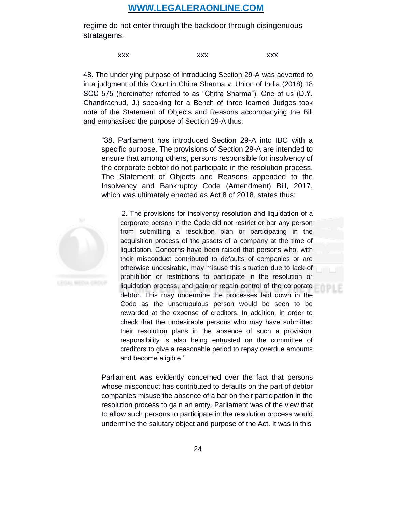regime do not enter through the backdoor through disingenuous stratagems.

xxx xxx xxx xxx

48. The underlying purpose of introducing Section 29-A was adverted to in a judgment of this Court in Chitra Sharma v. Union of India (2018) 18 SCC 575 (hereinafter referred to as "Chitra Sharma"). One of us (D.Y. Chandrachud, J.) speaking for a Bench of three learned Judges took note of the Statement of Objects and Reasons accompanying the Bill and emphasised the purpose of Section 29-A thus:

"38. Parliament has introduced Section 29-A into IBC with a specific purpose. The provisions of Section 29-A are intended to ensure that among others, persons responsible for insolvency of the corporate debtor do not participate in the resolution process. The Statement of Objects and Reasons appended to the Insolvency and Bankruptcy Code (Amendment) Bill, 2017, which was ultimately enacted as Act 8 of 2018, states thus:



'2. The provisions for insolvency resolution and liquidation of a corporate person in the Code did not restrict or bar any person from submitting a resolution plan or participating in the acquisition process of the assets of a company at the time of liquidation. Concerns have been raised that persons who, with their misconduct contributed to defaults of companies or are otherwise undesirable, may misuse this situation due to lack of prohibition or restrictions to participate in the resolution or liquidation process, and gain or regain control of the corporate debtor. This may undermine the processes laid down in the Code as the unscrupulous person would be seen to be rewarded at the expense of creditors. In addition, in order to check that the undesirable persons who may have submitted their resolution plans in the absence of such a provision, responsibility is also being entrusted on the committee of creditors to give a reasonable period to repay overdue amounts and become eligible.'

Parliament was evidently concerned over the fact that persons whose misconduct has contributed to defaults on the part of debtor companies misuse the absence of a bar on their participation in the resolution process to gain an entry. Parliament was of the view that to allow such persons to participate in the resolution process would undermine the salutary object and purpose of the Act. It was in this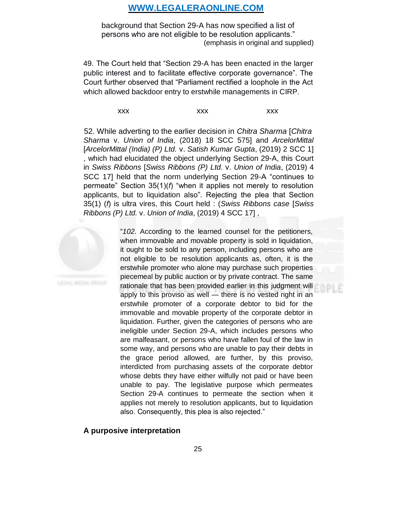background that Section 29-A has now specified a list of persons who are not eligible to be resolution applicants." (emphasis in original and supplied)

49. The Court held that "Section 29-A has been enacted in the larger public interest and to facilitate effective corporate governance". The Court further observed that "Parliament rectified a loophole in the Act which allowed backdoor entry to erstwhile managements in CIRP.

xxx xxx xxx xxx

52. While adverting to the earlier decision in *Chitra Sharma* [*Chitra Sharma* v. *Union of India*, (2018) 18 SCC 575] and *ArcelorMittal* [*ArcelorMittal (India) (P) Ltd.* v. *Satish Kumar Gupta*, (2019) 2 SCC 1] , which had elucidated the object underlying Section 29-A, this Court in *Swiss Ribbons* [*Swiss Ribbons (P) Ltd.* v. *Union of India*, (2019) 4 SCC 17] held that the norm underlying Section 29-A "continues to permeate" Section 35(1)(*f*) "when it applies not merely to resolution applicants, but to liquidation also". Rejecting the plea that Section 35(1) (*f*) is ultra vires, this Court held : (*Swiss Ribbons case* [*Swiss Ribbons (P) Ltd.* v. *Union of India*, (2019) 4 SCC 17] ,



"*102*. According to the learned counsel for the petitioners, when immovable and movable property is sold in liquidation, it ought to be sold to any person, including persons who are not eligible to be resolution applicants as, often, it is the erstwhile promoter who alone may purchase such properties piecemeal by public auction or by private contract. The same rationale that has been provided earlier in this judgment will apply to this proviso as well — there is no vested right in an erstwhile promoter of a corporate debtor to bid for the immovable and movable property of the corporate debtor in liquidation. Further, given the categories of persons who are ineligible under Section 29-A, which includes persons who are malfeasant, or persons who have fallen foul of the law in some way, and persons who are unable to pay their debts in the grace period allowed, are further, by this proviso, interdicted from purchasing assets of the corporate debtor whose debts they have either wilfully not paid or have been unable to pay. The legislative purpose which permeates Section 29-A continues to permeate the section when it applies not merely to resolution applicants, but to liquidation also. Consequently, this plea is also rejected."

#### **A purposive interpretation**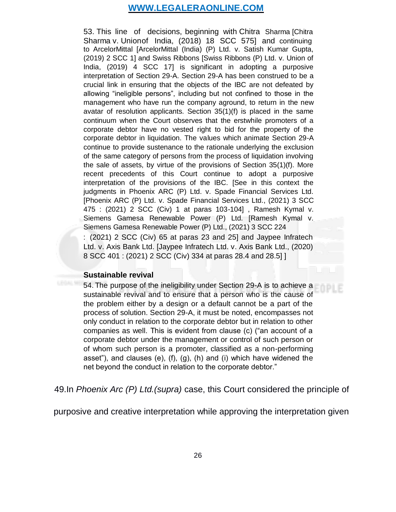53. This line of decisions, beginning with Chitra Sharma [Chitra Sharma v. Unionof India, (2018) 18 SCC 575] and continuing to ArcelorMittal [ArcelorMittal (India) (P) Ltd. v. Satish Kumar Gupta, (2019) 2 SCC 1] and Swiss Ribbons [Swiss Ribbons (P) Ltd. v. Union of India, (2019) 4 SCC 17] is significant in adopting a purposive interpretation of Section 29-A. Section 29-A has been construed to be a crucial link in ensuring that the objects of the IBC are not defeated by allowing "ineligible persons", including but not confined to those in the management who have run the company aground, to return in the new avatar of resolution applicants. Section 35(1)(f) is placed in the same continuum when the Court observes that the erstwhile promoters of a corporate debtor have no vested right to bid for the property of the corporate debtor in liquidation. The values which animate Section 29-A continue to provide sustenance to the rationale underlying the exclusion of the same category of persons from the process of liquidation involving the sale of assets, by virtue of the provisions of Section 35(1)(f). More recent precedents of this Court continue to adopt a purposive interpretation of the provisions of the IBC. [See in this context the judgments in Phoenix ARC (P) Ltd. v. Spade Financial Services Ltd. [Phoenix ARC (P) Ltd. v. Spade Financial Services Ltd., (2021) 3 SCC 475 : (2021) 2 SCC (Civ) 1 at paras 103-104] , Ramesh Kymal v. Siemens Gamesa Renewable Power (P) Ltd. [Ramesh Kymal v. Siemens Gamesa Renewable Power (P) Ltd., (2021) 3 SCC 224 : (2021) 2 SCC (Civ) 65 at paras 23 and 25] and Jaypee Infratech Ltd. v. Axis Bank Ltd. [Jaypee Infratech Ltd. v. Axis Bank Ltd., (2020) 8 SCC 401 : (2021) 2 SCC (Civ) 334 at paras 28.4 and 28.5] ]

#### **Sustainable revival**

54. The purpose of the ineligibility under Section 29-A is to achieve a sustainable revival and to ensure that a person who is the cause of the problem either by a design or a default cannot be a part of the process of solution. Section 29-A, it must be noted, encompasses not only conduct in relation to the corporate debtor but in relation to other companies as well. This is evident from clause (c) ("an account of a corporate debtor under the management or control of such person or of whom such person is a promoter, classified as a non-performing asset"), and clauses (e), (f), (g), (h) and (i) which have widened the net beyond the conduct in relation to the corporate debtor."

49.In *Phoenix Arc (P) Ltd.(supra)* case, this Court considered the principle of

purposive and creative interpretation while approving the interpretation given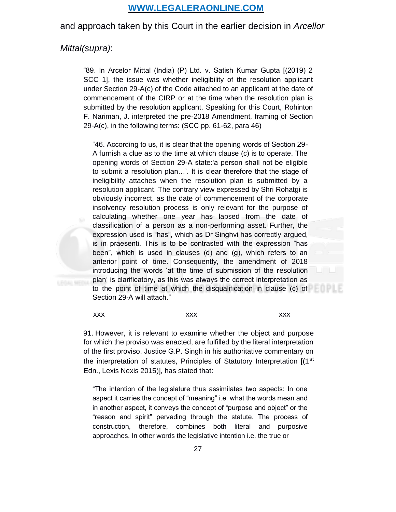and approach taken by this Court in the earlier decision in *Arcellor* 

#### *Mittal(supra)*:

"89. In Arcelor Mittal (India) (P) Ltd. v. Satish Kumar Gupta [(2019) 2 SCC 1], the issue was whether ineligibility of the resolution applicant under Section 29-A(c) of the Code attached to an applicant at the date of commencement of the CIRP or at the time when the resolution plan is submitted by the resolution applicant. Speaking for this Court, Rohinton F. Nariman, J. interpreted the pre-2018 Amendment, framing of Section 29-A(c), in the following terms: (SCC pp. 61-62, para 46)

"46. According to us, it is clear that the opening words of Section 29- A furnish a clue as to the time at which clause (c) is to operate. The opening words of Section 29-A state:'a person shall not be eligible to submit a resolution plan…'. It is clear therefore that the stage of ineligibility attaches when the resolution plan is submitted by a resolution applicant. The contrary view expressed by Shri Rohatgi is obviously incorrect, as the date of commencement of the corporate insolvency resolution process is only relevant for the purpose of calculating whether one year has lapsed from the date of classification of a person as a non-performing asset. Further, the expression used is "has", which as Dr Singhvi has correctly argued, is in praesenti. This is to be contrasted with the expression "has been", which is used in clauses (d) and (g), which refers to an anterior point of time. Consequently, the amendment of 2018 introducing the words 'at the time of submission of the resolution plan' is clarificatory, as this was always the correct interpretation as to the point of time at which the disqualification in clause (c) of Section 29-A will attach."

xxx xxx xxx xxx xxx

91. However, it is relevant to examine whether the object and purpose for which the proviso was enacted, are fulfilled by the literal interpretation of the first proviso. Justice G.P. Singh in his authoritative commentary on the interpretation of statutes, Principles of Statutory Interpretation [(1<sup>st</sup>) Edn., Lexis Nexis 2015)], has stated that:

"The intention of the legislature thus assimilates two aspects: In one aspect it carries the concept of "meaning" i.e. what the words mean and in another aspect, it conveys the concept of "purpose and object" or the "reason and spirit" pervading through the statute. The process of construction, therefore, combines both literal and purposive approaches. In other words the legislative intention i.e. the true or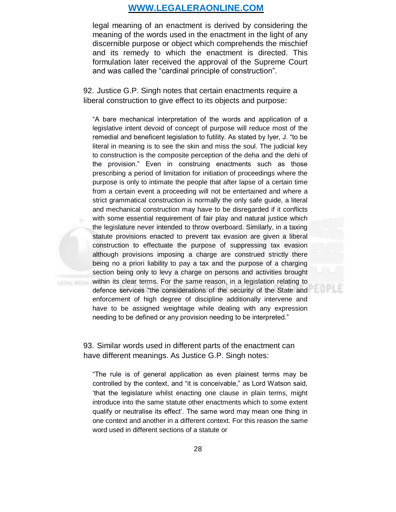legal meaning of an enactment is derived by considering the meaning of the words used in the enactment in the light of any discernible purpose or object which comprehends the mischief and its remedy to which the enactment is directed. This formulation later received the approval of the Supreme Court and was called the "cardinal principle of construction".

92. Justice G.P. Singh notes that certain enactments require a liberal construction to give effect to its objects and purpose:

"A bare mechanical interpretation of the words and application of a legislative intent devoid of concept of purpose will reduce most of the remedial and beneficent legislation to futility. As stated by Iyer, J. "to be literal in meaning is to see the skin and miss the soul. The judicial key to construction is the composite perception of the deha and the dehi of the provision." Even in construing enactments such as those prescribing a period of limitation for initiation of proceedings where the purpose is only to intimate the people that after lapse of a certain time from a certain event a proceeding will not be entertained and where a strict grammatical construction is normally the only safe guide, a literal and mechanical construction may have to be disregarded if it conflicts with some essential requirement of fair play and natural justice which the legislature never intended to throw overboard. Similarly, in a taxing statute provisions enacted to prevent tax evasion are given a liberal construction to effectuate the purpose of suppressing tax evasion although provisions imposing a charge are construed strictly there being no a priori liability to pay a tax and the purpose of a charging section being only to levy a charge on persons and activities brought within its clear terms. For the same reason, in a legislation relating to defence services "the considerations of the security of the State and enforcement of high degree of discipline additionally intervene and have to be assigned weightage while dealing with any expression needing to be defined or any provision needing to be interpreted."

93. Similar words used in different parts of the enactment can have different meanings. As Justice G.P. Singh notes:

"The rule is of general application as even plainest terms may be controlled by the context, and "it is conceivable," as Lord Watson said, 'that the legislature whilst enacting one clause in plain terms, might introduce into the same statute other enactments which to some extent qualify or neutralise its effect'. The same word may mean one thing in one context and another in a different context. For this reason the same word used in different sections of a statute or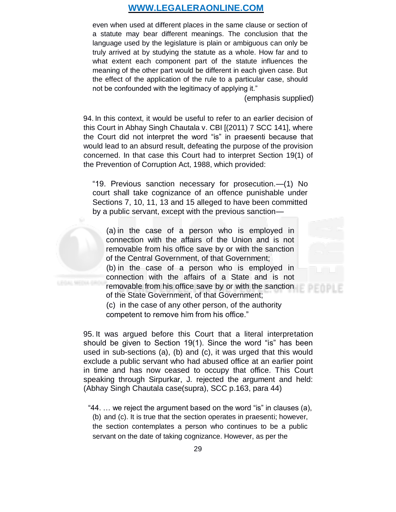even when used at different places in the same clause or section of a statute may bear different meanings. The conclusion that the language used by the legislature is plain or ambiguous can only be truly arrived at by studying the statute as a whole. How far and to what extent each component part of the statute influences the meaning of the other part would be different in each given case. But the effect of the application of the rule to a particular case, should not be confounded with the legitimacy of applying it."

(emphasis supplied)

94. In this context, it would be useful to refer to an earlier decision of this Court in Abhay Singh Chautala v. CBI [(2011) 7 SCC 141], where the Court did not interpret the word "is" in praesenti because that would lead to an absurd result, defeating the purpose of the provision concerned. In that case this Court had to interpret Section 19(1) of the Prevention of Corruption Act, 1988, which provided:

"19. Previous sanction necessary for prosecution.—(1) No court shall take cognizance of an offence punishable under Sections 7, 10, 11, 13 and 15 alleged to have been committed by a public servant, except with the previous sanction—

(a) in the case of a person who is employed in connection with the affairs of the Union and is not removable from his office save by or with the sanction of the Central Government, of that Government; (b) in the case of a person who is employed in connection with the affairs of a State and is not removable from his office save by or with the sanction of the State Government, of that Government;

(c) in the case of any other person, of the authority competent to remove him from his office."

95. It was argued before this Court that a literal interpretation should be given to Section 19(1). Since the word "is" has been used in sub-sections (a), (b) and (c), it was urged that this would exclude a public servant who had abused office at an earlier point in time and has now ceased to occupy that office. This Court speaking through Sirpurkar, J. rejected the argument and held: (Abhay Singh Chautala case(supra), SCC p.163, para 44)

"44. … we reject the argument based on the word "is" in clauses (a), (b) and (c). It is true that the section operates in praesenti; however, the section contemplates a person who continues to be a public servant on the date of taking cognizance. However, as per the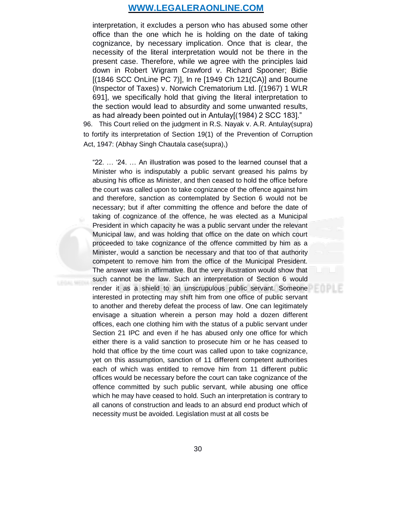interpretation, it excludes a person who has abused some other office than the one which he is holding on the date of taking cognizance, by necessary implication. Once that is clear, the necessity of the literal interpretation would not be there in the present case. Therefore, while we agree with the principles laid down in Robert Wigram Crawford v. Richard Spooner; Bidie [(1846 SCC OnLine PC 7)], In re [1949 Ch 121(CA)] and Bourne (Inspector of Taxes) v. Norwich Crematorium Ltd. [(1967) 1 WLR 691], we specifically hold that giving the literal interpretation to the section would lead to absurdity and some unwanted results, as had already been pointed out in Antulay[(1984) 2 SCC 183]."

96. This Court relied on the judgment in R.S. Nayak v. A.R. Antulay(supra) to fortify its interpretation of Section 19(1) of the Prevention of Corruption Act, 1947: (Abhay Singh Chautala case(supra),)

"22. … '24. … An illustration was posed to the learned counsel that a Minister who is indisputably a public servant greased his palms by abusing his office as Minister, and then ceased to hold the office before the court was called upon to take cognizance of the offence against him and therefore, sanction as contemplated by Section 6 would not be necessary; but if after committing the offence and before the date of taking of cognizance of the offence, he was elected as a Municipal President in which capacity he was a public servant under the relevant Municipal law, and was holding that office on the date on which court proceeded to take cognizance of the offence committed by him as a Minister, would a sanction be necessary and that too of that authority competent to remove him from the office of the Municipal President. The answer was in affirmative. But the very illustration would show that such cannot be the law. Such an interpretation of Section 6 would render it as a shield to an unscrupulous public servant. Someone interested in protecting may shift him from one office of public servant to another and thereby defeat the process of law. One can legitimately envisage a situation wherein a person may hold a dozen different offices, each one clothing him with the status of a public servant under Section 21 IPC and even if he has abused only one office for which either there is a valid sanction to prosecute him or he has ceased to hold that office by the time court was called upon to take cognizance, yet on this assumption, sanction of 11 different competent authorities each of which was entitled to remove him from 11 different public offices would be necessary before the court can take cognizance of the offence committed by such public servant, while abusing one office which he may have ceased to hold. Such an interpretation is contrary to all canons of construction and leads to an absurd end product which of necessity must be avoided. Legislation must at all costs be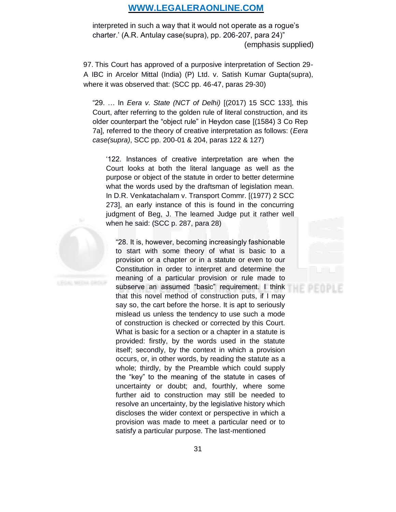interpreted in such a way that it would not operate as a rogue's charter.' (A.R. Antulay case(supra), pp. 206-207, para 24)" (emphasis supplied)

97. This Court has approved of a purposive interpretation of Section 29- A IBC in Arcelor Mittal (India) (P) Ltd. v. Satish Kumar Gupta(supra), where it was observed that: (SCC pp. 46-47, paras 29-30)

"29. … In *Eera v. State (NCT of Delhi)* [(2017) 15 SCC 133], this Court, after referring to the golden rule of literal construction, and its older counterpart the "object rule" in Heydon case [(1584) 3 Co Rep 7a], referred to the theory of creative interpretation as follows: (*Eera case(supra)*, SCC pp. 200-01 & 204, paras 122 & 127)

'122. Instances of creative interpretation are when the Court looks at both the literal language as well as the purpose or object of the statute in order to better determine what the words used by the draftsman of legislation mean. In D.R. Venkatachalam v. Transport Commr. [(1977) 2 SCC 273], an early instance of this is found in the concurring judgment of Beg, J. The learned Judge put it rather well when he said: (SCC p. 287, para 28)

"28. It is, however, becoming increasingly fashionable to start with some theory of what is basic to a provision or a chapter or in a statute or even to our Constitution in order to interpret and determine the meaning of a particular provision or rule made to subserve an assumed "basic" requirement. I think that this novel method of construction puts, if I may say so, the cart before the horse. It is apt to seriously mislead us unless the tendency to use such a mode of construction is checked or corrected by this Court. What is basic for a section or a chapter in a statute is provided: firstly, by the words used in the statute itself; secondly, by the context in which a provision occurs, or, in other words, by reading the statute as a whole; thirdly, by the Preamble which could supply the "key" to the meaning of the statute in cases of uncertainty or doubt; and, fourthly, where some further aid to construction may still be needed to resolve an uncertainty, by the legislative history which discloses the wider context or perspective in which a provision was made to meet a particular need or to satisfy a particular purpose. The last-mentioned

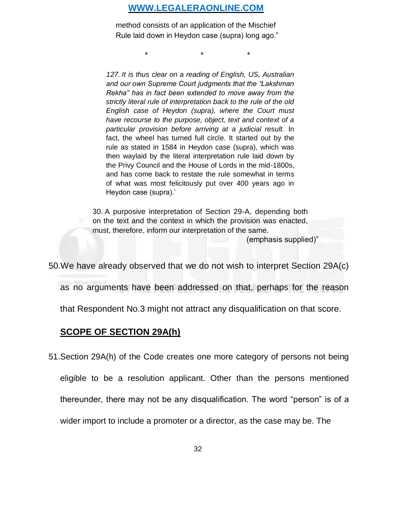method consists of an application of the Mischief Rule laid down in Heydon case (supra) long ago."

 $\star$  \*  $\star$  \*

*127. It is thus clear on a reading of English, US, Australian and our own Supreme Court judgments that the "Lakshman Rekha" has in fact been extended to move away from the strictly literal rule of interpretation back to the rule of the old English case of Heydon (supra), where the Court must have recourse to the purpose, object, text and context of a particular provision before arriving at a judicial result.* In fact, the wheel has turned full circle. It started out by the rule as stated in 1584 in Heydon case (supra), which was then waylaid by the literal interpretation rule laid down by the Privy Council and the House of Lords in the mid-1800s, and has come back to restate the rule somewhat in terms of what was most felicitously put over 400 years ago in Heydon case (supra).'

30. A purposive interpretation of Section 29-A, depending both on the text and the context in which the provision was enacted, must, therefore, inform our interpretation of the same.

(emphasis supplied)"

50.We have already observed that we do not wish to interpret Section 29A(c)

as no arguments have been addressed on that, perhaps for the reason

that Respondent No.3 might not attract any disqualification on that score.

## **SCOPE OF SECTION 29A(h)**

51.Section 29A(h) of the Code creates one more category of persons not being eligible to be a resolution applicant. Other than the persons mentioned thereunder, there may not be any disqualification. The word "person" is of a wider import to include a promoter or a director, as the case may be. The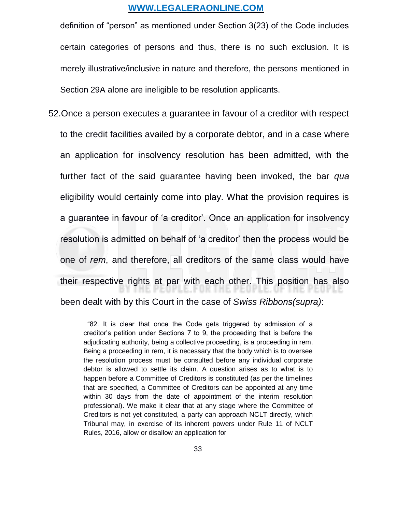definition of "person" as mentioned under Section 3(23) of the Code includes certain categories of persons and thus, there is no such exclusion. It is merely illustrative/inclusive in nature and therefore, the persons mentioned in Section 29A alone are ineligible to be resolution applicants.

52.Once a person executes a guarantee in favour of a creditor with respect to the credit facilities availed by a corporate debtor, and in a case where an application for insolvency resolution has been admitted, with the further fact of the said guarantee having been invoked, the bar *qua* eligibility would certainly come into play. What the provision requires is a guarantee in favour of 'a creditor'. Once an application for insolvency resolution is admitted on behalf of 'a creditor' then the process would be one of *rem*, and therefore, all creditors of the same class would have their respective rights at par with each other. This position has also E. FUX I ME MEUR been dealt with by this Court in the case of *Swiss Ribbons(supra)*:

> "82. It is clear that once the Code gets triggered by admission of a creditor's petition under Sections 7 to 9, the proceeding that is before the adjudicating authority, being a collective proceeding, is a proceeding in rem. Being a proceeding in rem, it is necessary that the body which is to oversee the resolution process must be consulted before any individual corporate debtor is allowed to settle its claim. A question arises as to what is to happen before a Committee of Creditors is constituted (as per the timelines that are specified, a Committee of Creditors can be appointed at any time within 30 days from the date of appointment of the interim resolution professional). We make it clear that at any stage where the Committee of Creditors is not yet constituted, a party can approach NCLT directly, which Tribunal may, in exercise of its inherent powers under Rule 11 of NCLT Rules, 2016, allow or disallow an application for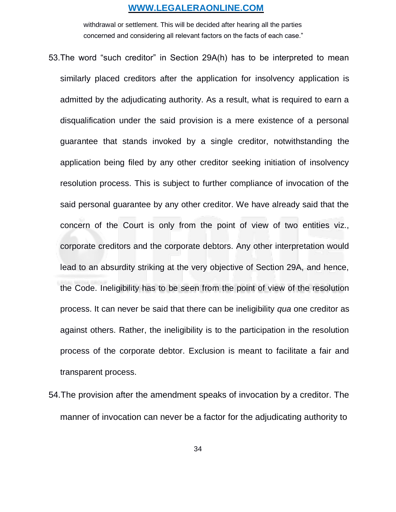withdrawal or settlement. This will be decided after hearing all the parties concerned and considering all relevant factors on the facts of each case."

- 53.The word "such creditor" in Section 29A(h) has to be interpreted to mean similarly placed creditors after the application for insolvency application is admitted by the adjudicating authority. As a result, what is required to earn a disqualification under the said provision is a mere existence of a personal guarantee that stands invoked by a single creditor, notwithstanding the application being filed by any other creditor seeking initiation of insolvency resolution process. This is subject to further compliance of invocation of the said personal guarantee by any other creditor. We have already said that the concern of the Court is only from the point of view of two entities viz., corporate creditors and the corporate debtors. Any other interpretation would lead to an absurdity striking at the very objective of Section 29A, and hence, the Code. Ineligibility has to be seen from the point of view of the resolution process. It can never be said that there can be ineligibility *qua* one creditor as against others. Rather, the ineligibility is to the participation in the resolution process of the corporate debtor. Exclusion is meant to facilitate a fair and transparent process.
- 54.The provision after the amendment speaks of invocation by a creditor. The manner of invocation can never be a factor for the adjudicating authority to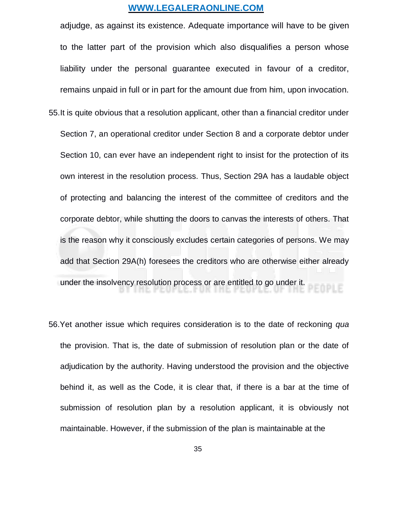adjudge, as against its existence. Adequate importance will have to be given to the latter part of the provision which also disqualifies a person whose liability under the personal guarantee executed in favour of a creditor, remains unpaid in full or in part for the amount due from him, upon invocation.

- 55.It is quite obvious that a resolution applicant, other than a financial creditor under Section 7, an operational creditor under Section 8 and a corporate debtor under Section 10, can ever have an independent right to insist for the protection of its own interest in the resolution process. Thus, Section 29A has a laudable object of protecting and balancing the interest of the committee of creditors and the corporate debtor, while shutting the doors to canvas the interests of others. That is the reason why it consciously excludes certain categories of persons. We may add that Section 29A(h) foresees the creditors who are otherwise either already under the insolvency resolution process or are entitled to go under it.
- 56.Yet another issue which requires consideration is to the date of reckoning *qua* the provision. That is, the date of submission of resolution plan or the date of adjudication by the authority. Having understood the provision and the objective behind it, as well as the Code, it is clear that, if there is a bar at the time of submission of resolution plan by a resolution applicant, it is obviously not maintainable. However, if the submission of the plan is maintainable at the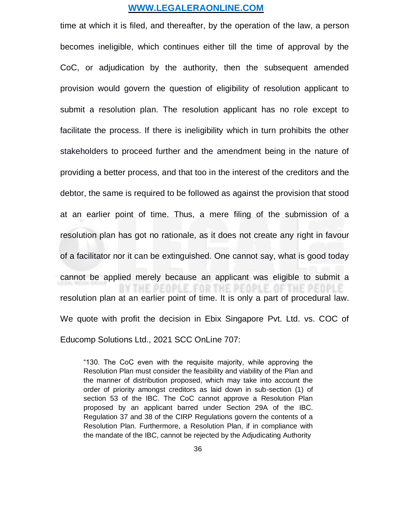time at which it is filed, and thereafter, by the operation of the law, a person becomes ineligible, which continues either till the time of approval by the CoC, or adjudication by the authority, then the subsequent amended provision would govern the question of eligibility of resolution applicant to submit a resolution plan. The resolution applicant has no role except to facilitate the process. If there is ineligibility which in turn prohibits the other stakeholders to proceed further and the amendment being in the nature of providing a better process, and that too in the interest of the creditors and the debtor, the same is required to be followed as against the provision that stood at an earlier point of time. Thus, a mere filing of the submission of a resolution plan has got no rationale, as it does not create any right in favour of a facilitator nor it can be extinguished. One cannot say, what is good today cannot be applied merely because an applicant was eligible to submit a F FOR resolution plan at an earlier point of time. It is only a part of procedural law. We quote with profit the decision in Ebix Singapore Pvt. Ltd. vs. COC of Educomp Solutions Ltd., 2021 SCC OnLine 707:

"130. The CoC even with the requisite majority, while approving the Resolution Plan must consider the feasibility and viability of the Plan and the manner of distribution proposed, which may take into account the order of priority amongst creditors as laid down in sub-section (1) of section 53 of the IBC. The CoC cannot approve a Resolution Plan proposed by an applicant barred under Section 29A of the IBC. Regulation 37 and 38 of the CIRP Regulations govern the contents of a Resolution Plan. Furthermore, a Resolution Plan, if in compliance with the mandate of the IBC, cannot be rejected by the Adjudicating Authority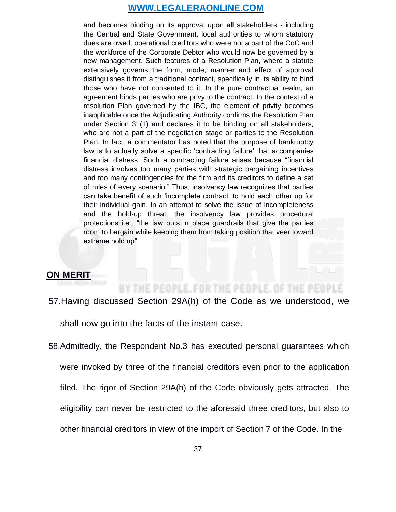and becomes binding on its approval upon all stakeholders - including the Central and State Government, local authorities to whom statutory dues are owed, operational creditors who were not a part of the CoC and the workforce of the Corporate Debtor who would now be governed by a new management. Such features of a Resolution Plan, where a statute extensively governs the form, mode, manner and effect of approval distinguishes it from a traditional contract, specifically in its ability to bind those who have not consented to it. In the pure contractual realm, an agreement binds parties who are privy to the contract. In the context of a resolution Plan governed by the IBC, the element of privity becomes inapplicable once the Adjudicating Authority confirms the Resolution Plan under Section 31(1) and declares it to be binding on all stakeholders, who are not a part of the negotiation stage or parties to the Resolution Plan. In fact, a commentator has noted that the purpose of bankruptcy law is to actually solve a specific 'contracting failure' that accompanies financial distress. Such a contracting failure arises because "financial distress involves too many parties with strategic bargaining incentives and too many contingencies for the firm and its creditors to define a set of rules of every scenario." Thus, insolvency law recognizes that parties can take benefit of such 'incomplete contract' to hold each other up for their individual gain. In an attempt to solve the issue of incompleteness and the hold-up threat, the insolvency law provides procedural protections i.e., "the law puts in place guardrails that give the parties room to bargain while keeping them from taking position that veer toward extreme hold up"

## **ON MERIT**

# BY THE PEOPLE, FOR THE PEOPLE, OF THE PEOPLE

57.Having discussed Section 29A(h) of the Code as we understood, we

shall now go into the facts of the instant case.

58.Admittedly, the Respondent No.3 has executed personal guarantees which were invoked by three of the financial creditors even prior to the application filed. The rigor of Section 29A(h) of the Code obviously gets attracted. The eligibility can never be restricted to the aforesaid three creditors, but also to other financial creditors in view of the import of Section 7 of the Code. In the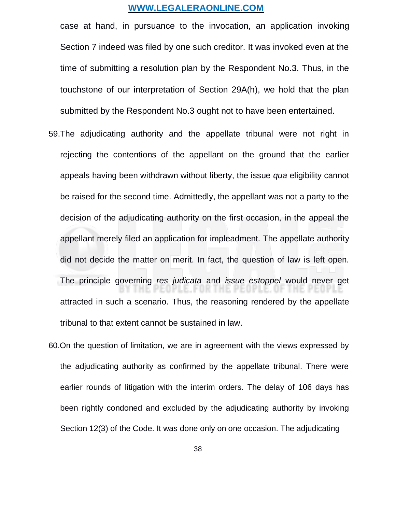case at hand, in pursuance to the invocation, an application invoking Section 7 indeed was filed by one such creditor. It was invoked even at the time of submitting a resolution plan by the Respondent No.3. Thus, in the touchstone of our interpretation of Section 29A(h), we hold that the plan submitted by the Respondent No.3 ought not to have been entertained.

- 59.The adjudicating authority and the appellate tribunal were not right in rejecting the contentions of the appellant on the ground that the earlier appeals having been withdrawn without liberty, the issue *qua* eligibility cannot be raised for the second time. Admittedly, the appellant was not a party to the decision of the adjudicating authority on the first occasion, in the appeal the appellant merely filed an application for impleadment. The appellate authority did not decide the matter on merit. In fact, the question of law is left open. The principle governing *res judicata* and *issue estoppel* would never get attracted in such a scenario. Thus, the reasoning rendered by the appellate tribunal to that extent cannot be sustained in law.
- 60.On the question of limitation, we are in agreement with the views expressed by the adjudicating authority as confirmed by the appellate tribunal. There were earlier rounds of litigation with the interim orders. The delay of 106 days has been rightly condoned and excluded by the adjudicating authority by invoking Section 12(3) of the Code. It was done only on one occasion. The adjudicating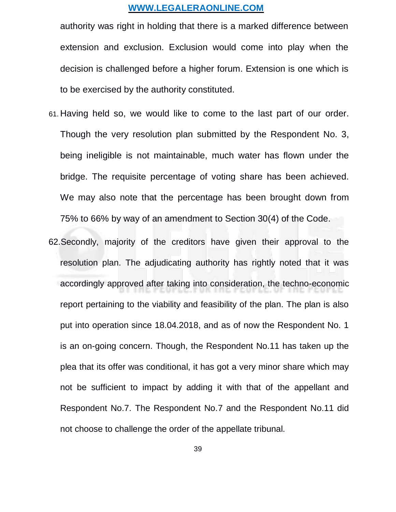authority was right in holding that there is a marked difference between extension and exclusion. Exclusion would come into play when the decision is challenged before a higher forum. Extension is one which is to be exercised by the authority constituted.

- 61. Having held so, we would like to come to the last part of our order. Though the very resolution plan submitted by the Respondent No. 3, being ineligible is not maintainable, much water has flown under the bridge. The requisite percentage of voting share has been achieved. We may also note that the percentage has been brought down from 75% to 66% by way of an amendment to Section 30(4) of the Code.
- 62.Secondly, majority of the creditors have given their approval to the resolution plan. The adjudicating authority has rightly noted that it was accordingly approved after taking into consideration, the techno-economic report pertaining to the viability and feasibility of the plan. The plan is also put into operation since 18.04.2018, and as of now the Respondent No. 1 is an on-going concern. Though, the Respondent No.11 has taken up the plea that its offer was conditional, it has got a very minor share which may not be sufficient to impact by adding it with that of the appellant and Respondent No.7. The Respondent No.7 and the Respondent No.11 did not choose to challenge the order of the appellate tribunal.